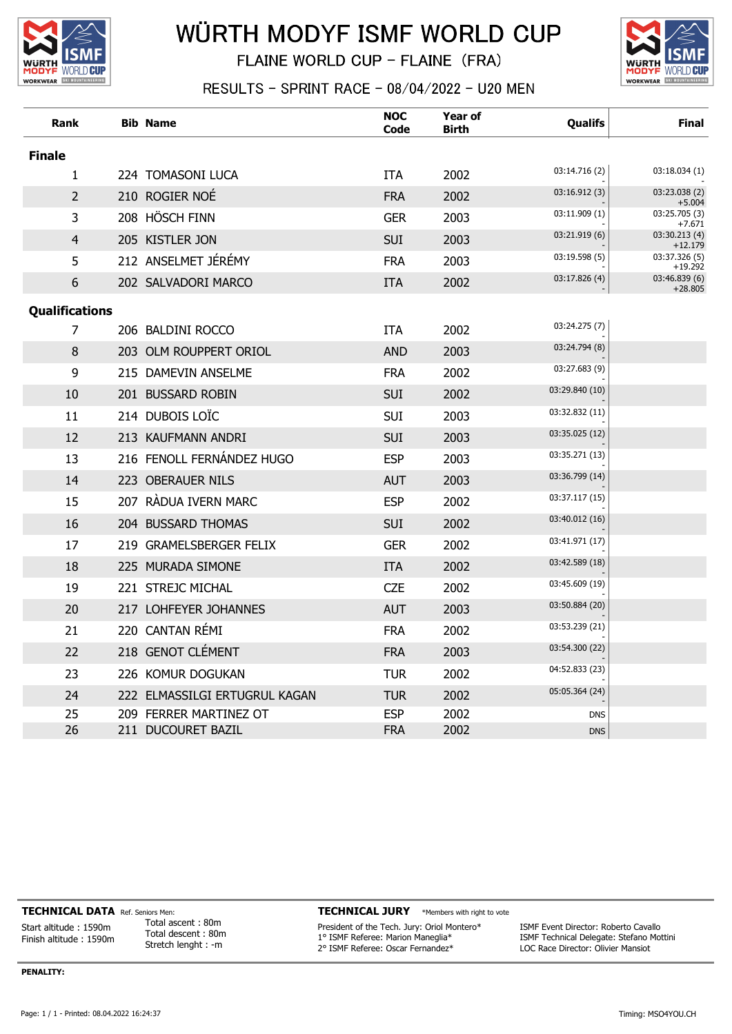

## WÜRTH MODYF ISMF WORLD CUP

FLAINE WORLD CUP - FLAINE (FRA)



RESULTS - SPRINT RACE - 08/04/2022 - U20 MEN

| Rank                  | <b>Bib Name</b>               | <b>NOC</b><br>Code | <b>Year of</b><br><b>Birth</b> | Qualifs        | <b>Final</b>               |
|-----------------------|-------------------------------|--------------------|--------------------------------|----------------|----------------------------|
| <b>Finale</b>         |                               |                    |                                |                |                            |
| 1                     | 224 TOMASONI LUCA             | <b>ITA</b>         | 2002                           | 03:14.716 (2)  | 03:18.034 (1)              |
| $\overline{2}$        | 210 ROGIER NOÉ                | <b>FRA</b>         | 2002                           | 03:16.912(3)   | 03:23.038 (2)<br>$+5.004$  |
| 3                     | 208 HÖSCH FINN                | <b>GER</b>         | 2003                           | 03:11.909 (1)  | 03:25.705 (3)<br>$+7.671$  |
| 4                     | 205 KISTLER JON               | <b>SUI</b>         | 2003                           | 03:21.919(6)   | 03:30.213 (4)<br>$+12.179$ |
| 5                     | 212 ANSELMET JÉRÉMY           | <b>FRA</b>         | 2003                           | 03:19.598 (5)  | 03:37.326 (5)<br>$+19.292$ |
| 6                     | 202 SALVADORI MARCO           | <b>ITA</b>         | 2002                           | 03:17.826 (4)  | 03:46.839 (6)<br>$+28.805$ |
| <b>Qualifications</b> |                               |                    |                                |                |                            |
| 7                     | 206 BALDINI ROCCO             | <b>ITA</b>         | 2002                           | 03:24.275 (7)  |                            |
| 8                     | 203 OLM ROUPPERT ORIOL        | <b>AND</b>         | 2003                           | 03:24.794 (8)  |                            |
| 9                     | 215 DAMEVIN ANSELME           | <b>FRA</b>         | 2002                           | 03:27.683 (9)  |                            |
| 10                    | 201 BUSSARD ROBIN             | <b>SUI</b>         | 2002                           | 03:29.840 (10) |                            |
| 11                    | 214 DUBOIS LOÏC               | <b>SUI</b>         | 2003                           | 03:32.832 (11) |                            |
| 12                    | 213 KAUFMANN ANDRI            | <b>SUI</b>         | 2003                           | 03:35.025 (12) |                            |
| 13                    | 216 FENOLL FERNÁNDEZ HUGO     | <b>ESP</b>         | 2003                           | 03:35.271 (13) |                            |
| 14                    | 223 OBERAUER NILS             | <b>AUT</b>         | 2003                           | 03:36.799 (14) |                            |
| 15                    | 207 RÀDUA IVERN MARC          | <b>ESP</b>         | 2002                           | 03:37.117 (15) |                            |
| 16                    | 204 BUSSARD THOMAS            | <b>SUI</b>         | 2002                           | 03:40.012 (16) |                            |
| 17                    | 219 GRAMELSBERGER FELIX       | <b>GER</b>         | 2002                           | 03:41.971 (17) |                            |
| 18                    | 225 MURADA SIMONE             | <b>ITA</b>         | 2002                           | 03:42.589 (18) |                            |
| 19                    | 221 STREJC MICHAL             | <b>CZE</b>         | 2002                           | 03:45.609 (19) |                            |
| 20                    | 217 LOHFEYER JOHANNES         | <b>AUT</b>         | 2003                           | 03:50.884 (20) |                            |
| 21                    | 220 CANTAN RÉMI               | <b>FRA</b>         | 2002                           | 03:53.239 (21) |                            |
| 22                    | 218 GENOT CLÉMENT             | <b>FRA</b>         | 2003                           | 03:54.300 (22) |                            |
| 23                    | 226 KOMUR DOGUKAN             | <b>TUR</b>         | 2002                           | 04:52.833 (23) |                            |
| 24                    | 222 ELMASSILGI ERTUGRUL KAGAN | <b>TUR</b>         | 2002                           | 05:05.364 (24) |                            |
| 25                    | 209 FERRER MARTINEZ OT        | <b>ESP</b>         | 2002                           | <b>DNS</b>     |                            |
| 26                    | 211 DUCOURET BAZIL            | <b>FRA</b>         | 2002                           | <b>DNS</b>     |                            |

TECHNICAL DATA Ref. Seniors Men:

Start altitude : 1590m Finish altitude : 1590m

Total ascent : 80m Total descent : 80m Stretch lenght : -m

## TECHNICAL JURY \*Members with right to vote

President of the Tech. Jury: Oriol Montero\* 1° ISMF Referee: Marion Maneglia\* 2° ISMF Referee: Oscar Fernandez\*

ISMF Event Director: Roberto Cavallo ISMF Technical Delegate: Stefano Mottini LOC Race Director: Olivier Mansiot

PENALITY: